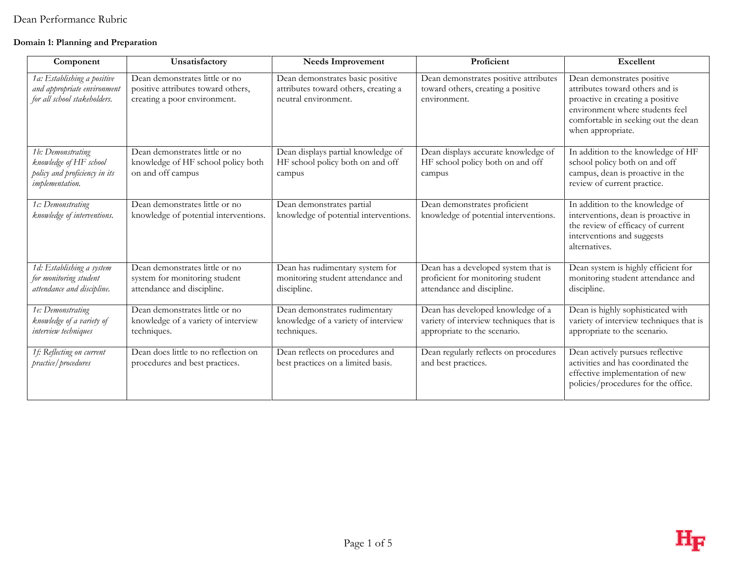#### **Domain 1: Planning and Preparation**

| Component                                                                                              | Unsatisfactory                                                                                       | <b>Needs Improvement</b>                                                                         | Proficient                                                                                                   | Excellent                                                                                                                                                                                        |
|--------------------------------------------------------------------------------------------------------|------------------------------------------------------------------------------------------------------|--------------------------------------------------------------------------------------------------|--------------------------------------------------------------------------------------------------------------|--------------------------------------------------------------------------------------------------------------------------------------------------------------------------------------------------|
| 1a: Establishing a positive<br>and appropriate environment<br>for all school stakeholders.             | Dean demonstrates little or no<br>positive attributes toward others,<br>creating a poor environment. | Dean demonstrates basic positive<br>attributes toward others, creating a<br>neutral environment. | Dean demonstrates positive attributes<br>toward others, creating a positive<br>environment.                  | Dean demonstrates positive<br>attributes toward others and is<br>proactive in creating a positive<br>environment where students feel<br>comfortable in seeking out the dean<br>when appropriate. |
| 1b: Demonstrating<br>knowledge of HF school<br>policy and proficiency in its<br><i>implementation.</i> | Dean demonstrates little or no<br>knowledge of HF school policy both<br>on and off campus            | Dean displays partial knowledge of<br>HF school policy both on and off<br>campus                 | Dean displays accurate knowledge of<br>HF school policy both on and off<br>campus                            | In addition to the knowledge of HF<br>school policy both on and off<br>campus, dean is proactive in the<br>review of current practice.                                                           |
| 1c: Demonstrating<br>knowledge of interventions.                                                       | Dean demonstrates little or no<br>knowledge of potential interventions.                              | Dean demonstrates partial<br>knowledge of potential interventions.                               | Dean demonstrates proficient<br>knowledge of potential interventions.                                        | In addition to the knowledge of<br>interventions, dean is proactive in<br>the review of efficacy of current<br>interventions and suggests<br>alternatives.                                       |
| 1d: Establishing a system<br>for monitoring student<br>attendance and discipline.                      | Dean demonstrates little or no<br>system for monitoring student<br>attendance and discipline.        | Dean has rudimentary system for<br>monitoring student attendance and<br>discipline.              | Dean has a developed system that is<br>proficient for monitoring student<br>attendance and discipline.       | Dean system is highly efficient for<br>monitoring student attendance and<br>discipline.                                                                                                          |
| 1e: Demonstrating<br>knowledge of a variety of<br>interview techniques                                 | Dean demonstrates little or no<br>knowledge of a variety of interview<br>techniques.                 | Dean demonstrates rudimentary<br>knowledge of a variety of interview<br>techniques.              | Dean has developed knowledge of a<br>variety of interview techniques that is<br>appropriate to the scenario. | Dean is highly sophisticated with<br>variety of interview techniques that is<br>appropriate to the scenario.                                                                                     |
| 1f: Reflecting on current<br>practice/procedures                                                       | Dean does little to no reflection on<br>procedures and best practices.                               | Dean reflects on procedures and<br>best practices on a limited basis.                            | Dean regularly reflects on procedures<br>and best practices.                                                 | Dean actively pursues reflective<br>activities and has coordinated the<br>effective implementation of new<br>policies/procedures for the office.                                                 |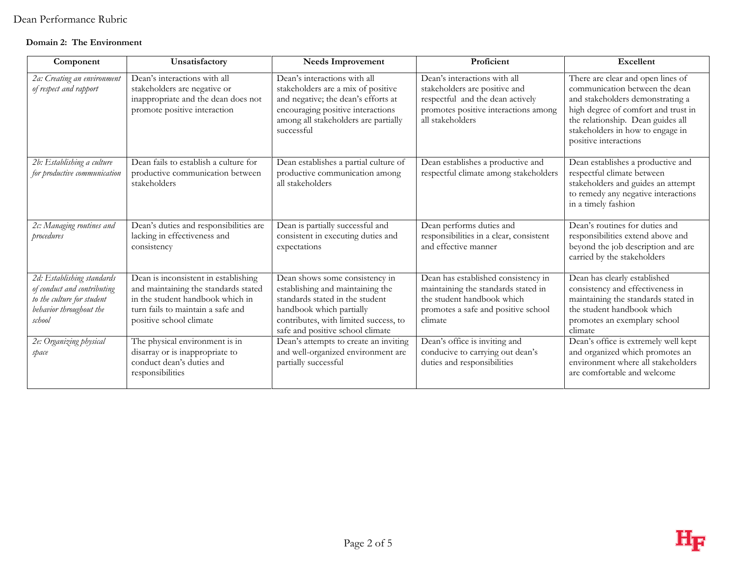#### **Domain 2: The Environment**

| Component                                                                                                                    | Unsatisfactory                                                                                                                                                                   | <b>Needs Improvement</b>                                                                                                                                                                                       | Proficient                                                                                                                                                    | Excellent                                                                                                                                                                                                                                        |
|------------------------------------------------------------------------------------------------------------------------------|----------------------------------------------------------------------------------------------------------------------------------------------------------------------------------|----------------------------------------------------------------------------------------------------------------------------------------------------------------------------------------------------------------|---------------------------------------------------------------------------------------------------------------------------------------------------------------|--------------------------------------------------------------------------------------------------------------------------------------------------------------------------------------------------------------------------------------------------|
| 2a: Creating an environment<br>of respect and rapport                                                                        | Dean's interactions with all<br>stakeholders are negative or<br>inappropriate and the dean does not<br>promote positive interaction                                              | Dean's interactions with all<br>stakeholders are a mix of positive<br>and negative; the dean's efforts at<br>encouraging positive interactions<br>among all stakeholders are partially<br>successful           | Dean's interactions with all<br>stakeholders are positive and<br>respectful and the dean actively<br>promotes positive interactions among<br>all stakeholders | There are clear and open lines of<br>communication between the dean<br>and stakeholders demonstrating a<br>high degree of comfort and trust in<br>the relationship. Dean guides all<br>stakeholders in how to engage in<br>positive interactions |
| 2b: Establishing a culture<br>for productive communication                                                                   | Dean fails to establish a culture for<br>productive communication between<br>stakeholders                                                                                        | Dean establishes a partial culture of<br>productive communication among<br>all stakeholders                                                                                                                    | Dean establishes a productive and<br>respectful climate among stakeholders                                                                                    | Dean establishes a productive and<br>respectful climate between<br>stakeholders and guides an attempt<br>to remedy any negative interactions<br>in a timely fashion                                                                              |
| 2c: Managing routines and<br>procedures                                                                                      | Dean's duties and responsibilities are<br>lacking in effectiveness and<br>consistency                                                                                            | Dean is partially successful and<br>consistent in executing duties and<br>expectations                                                                                                                         | Dean performs duties and<br>responsibilities in a clear, consistent<br>and effective manner                                                                   | Dean's routines for duties and<br>responsibilities extend above and<br>beyond the job description and are<br>carried by the stakeholders                                                                                                         |
| 2d: Establishing standards<br>of conduct and contributing<br>to the culture for student<br>behavior throughout the<br>school | Dean is inconsistent in establishing<br>and maintaining the standards stated<br>in the student handbook which in<br>turn fails to maintain a safe and<br>positive school climate | Dean shows some consistency in<br>establishing and maintaining the<br>standards stated in the student<br>handbook which partially<br>contributes, with limited success, to<br>safe and positive school climate | Dean has established consistency in<br>maintaining the standards stated in<br>the student handbook which<br>promotes a safe and positive school<br>climate    | Dean has clearly established<br>consistency and effectiveness in<br>maintaining the standards stated in<br>the student handbook which<br>promotes an exemplary school<br>climate                                                                 |
| 2e: Organizing physical<br>space                                                                                             | The physical environment is in<br>disarray or is inappropriate to<br>conduct dean's duties and<br>responsibilities                                                               | Dean's attempts to create an inviting<br>and well-organized environment are<br>partially successful                                                                                                            | Dean's office is inviting and<br>conducive to carrying out dean's<br>duties and responsibilities                                                              | Dean's office is extremely well kept<br>and organized which promotes an<br>environment where all stakeholders<br>are comfortable and welcome                                                                                                     |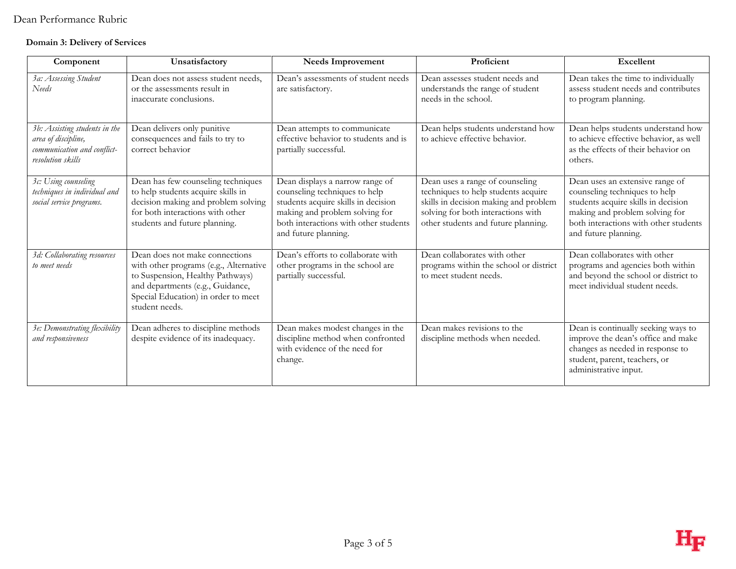#### **Domain 3: Delivery of Services**

| Component                                                                                                | Unsatisfactory                                                                                                                                                                                            | <b>Needs Improvement</b>                                                                                                                                                                                   | Proficient                                                                                                                                                                                   | <b>Excellent</b>                                                                                                                                                                                           |
|----------------------------------------------------------------------------------------------------------|-----------------------------------------------------------------------------------------------------------------------------------------------------------------------------------------------------------|------------------------------------------------------------------------------------------------------------------------------------------------------------------------------------------------------------|----------------------------------------------------------------------------------------------------------------------------------------------------------------------------------------------|------------------------------------------------------------------------------------------------------------------------------------------------------------------------------------------------------------|
| 3a: Assessing Student<br>Needs                                                                           | Dean does not assess student needs,<br>or the assessments result in<br>inaccurate conclusions.                                                                                                            | Dean's assessments of student needs<br>are satisfactory.                                                                                                                                                   | Dean assesses student needs and<br>understands the range of student<br>needs in the school.                                                                                                  | Dean takes the time to individually<br>assess student needs and contributes<br>to program planning.                                                                                                        |
| 3b: Assisting students in the<br>area of discipline,<br>communication and conflict-<br>resolution skills | Dean delivers only punitive<br>consequences and fails to try to<br>correct behavior                                                                                                                       | Dean attempts to communicate<br>effective behavior to students and is<br>partially successful.                                                                                                             | Dean helps students understand how<br>to achieve effective behavior.                                                                                                                         | Dean helps students understand how<br>to achieve effective behavior, as well<br>as the effects of their behavior on<br>others.                                                                             |
| 3c: Using counseling<br>techniques in individual and<br>social service programs.                         | Dean has few counseling techniques<br>to help students acquire skills in<br>decision making and problem solving<br>for both interactions with other<br>students and future planning.                      | Dean displays a narrow range of<br>counseling techniques to help<br>students acquire skills in decision<br>making and problem solving for<br>both interactions with other students<br>and future planning. | Dean uses a range of counseling<br>techniques to help students acquire<br>skills in decision making and problem<br>solving for both interactions with<br>other students and future planning. | Dean uses an extensive range of<br>counseling techniques to help<br>students acquire skills in decision<br>making and problem solving for<br>both interactions with other students<br>and future planning. |
| 3d: Collaborating resources<br>to meet needs                                                             | Dean does not make connections<br>with other programs (e.g., Alternative<br>to Suspension, Healthy Pathways)<br>and departments (e.g., Guidance,<br>Special Education) in order to meet<br>student needs. | Dean's efforts to collaborate with<br>other programs in the school are<br>partially successful.                                                                                                            | Dean collaborates with other<br>programs within the school or district<br>to meet student needs.                                                                                             | Dean collaborates with other<br>programs and agencies both within<br>and beyond the school or district to<br>meet individual student needs.                                                                |
| 3e: Demonstrating flexibility<br>and responsiveness                                                      | Dean adheres to discipline methods<br>despite evidence of its inadequacy.                                                                                                                                 | Dean makes modest changes in the<br>discipline method when confronted<br>with evidence of the need for<br>change.                                                                                          | Dean makes revisions to the<br>discipline methods when needed.                                                                                                                               | Dean is continually seeking ways to<br>improve the dean's office and make<br>changes as needed in response to<br>student, parent, teachers, or<br>administrative input.                                    |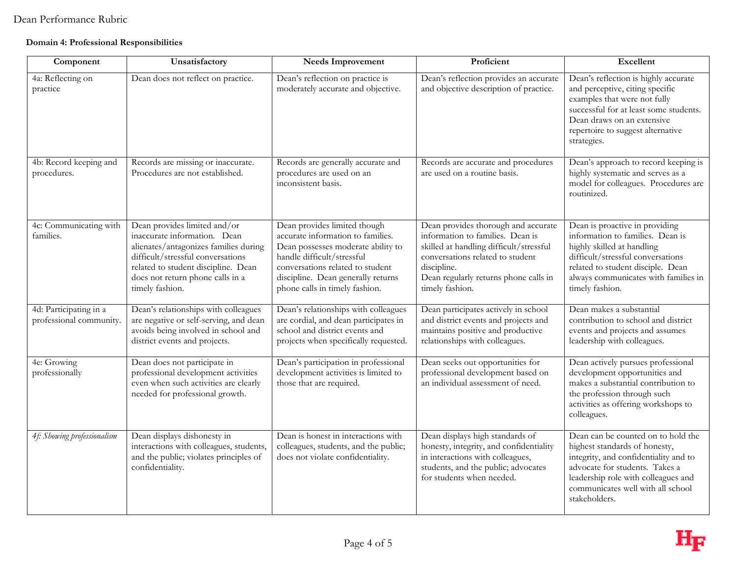#### **Domain 4: Professional Responsibilities**

| Component                                         | Unsatisfactory                                                                                                                                                                                                                           | Needs Improvement                                                                                                                                                                                                                                 | Proficient                                                                                                                                                                                                                        | Excellent                                                                                                                                                                                                                                   |
|---------------------------------------------------|------------------------------------------------------------------------------------------------------------------------------------------------------------------------------------------------------------------------------------------|---------------------------------------------------------------------------------------------------------------------------------------------------------------------------------------------------------------------------------------------------|-----------------------------------------------------------------------------------------------------------------------------------------------------------------------------------------------------------------------------------|---------------------------------------------------------------------------------------------------------------------------------------------------------------------------------------------------------------------------------------------|
| 4a: Reflecting on<br>practice                     | Dean does not reflect on practice.                                                                                                                                                                                                       | Dean's reflection on practice is<br>moderately accurate and objective.                                                                                                                                                                            | Dean's reflection provides an accurate<br>and objective description of practice.                                                                                                                                                  | Dean's reflection is highly accurate<br>and perceptive, citing specific<br>examples that were not fully<br>successful for at least some students.<br>Dean draws on an extensive<br>repertoire to suggest alternative<br>strategies.         |
| 4b: Record keeping and<br>procedures.             | Records are missing or inaccurate.<br>Procedures are not established.                                                                                                                                                                    | Records are generally accurate and<br>procedures are used on an<br>inconsistent basis.                                                                                                                                                            | Records are accurate and procedures<br>are used on a routine basis.                                                                                                                                                               | Dean's approach to record keeping is<br>highly systematic and serves as a<br>model for colleagues. Procedures are<br>routinized.                                                                                                            |
| 4c: Communicating with<br>families.               | Dean provides limited and/or<br>inaccurate information. Dean<br>alienates/antagonizes families during<br>difficult/stressful conversations<br>related to student discipline. Dean<br>does not return phone calls in a<br>timely fashion. | Dean provides limited though<br>accurate information to families.<br>Dean possesses moderate ability to<br>handle difficult/stressful<br>conversations related to student<br>discipline. Dean generally returns<br>phone calls in timely fashion. | Dean provides thorough and accurate<br>information to families. Dean is<br>skilled at handling difficult/stressful<br>conversations related to student<br>discipline.<br>Dean regularly returns phone calls in<br>timely fashion. | Dean is proactive in providing<br>information to families. Dean is<br>highly skilled at handling<br>difficult/stressful conversations<br>related to student disciple. Dean<br>always communicates with families in<br>timely fashion.       |
| 4d: Participating in a<br>professional community. | Dean's relationships with colleagues<br>are negative or self-serving, and dean<br>avoids being involved in school and<br>district events and projects.                                                                                   | Dean's relationships with colleagues<br>are cordial, and dean participates in<br>school and district events and<br>projects when specifically requested.                                                                                          | Dean participates actively in school<br>and district events and projects and<br>maintains positive and productive<br>relationships with colleagues.                                                                               | Dean makes a substantial<br>contribution to school and district<br>events and projects and assumes<br>leadership with colleagues.                                                                                                           |
| 4e: Growing<br>professionally                     | Dean does not participate in<br>professional development activities<br>even when such activities are clearly<br>needed for professional growth.                                                                                          | Dean's participation in professional<br>development activities is limited to<br>those that are required.                                                                                                                                          | Dean seeks out opportunities for<br>professional development based on<br>an individual assessment of need.                                                                                                                        | Dean actively pursues professional<br>development opportunities and<br>makes a substantial contribution to<br>the profession through such<br>activities as offering workshops to<br>colleagues.                                             |
| 4f: Showing professionalism                       | Dean displays dishonesty in<br>interactions with colleagues, students,<br>and the public; violates principles of<br>confidentiality.                                                                                                     | Dean is honest in interactions with<br>colleagues, students, and the public;<br>does not violate confidentiality.                                                                                                                                 | Dean displays high standards of<br>honesty, integrity, and confidentiality<br>in interactions with colleagues,<br>students, and the public; advocates<br>for students when needed.                                                | Dean can be counted on to hold the<br>highest standards of honesty,<br>integrity, and confidentiality and to<br>advocate for students. Takes a<br>leadership role with colleagues and<br>communicates well with all school<br>stakeholders. |